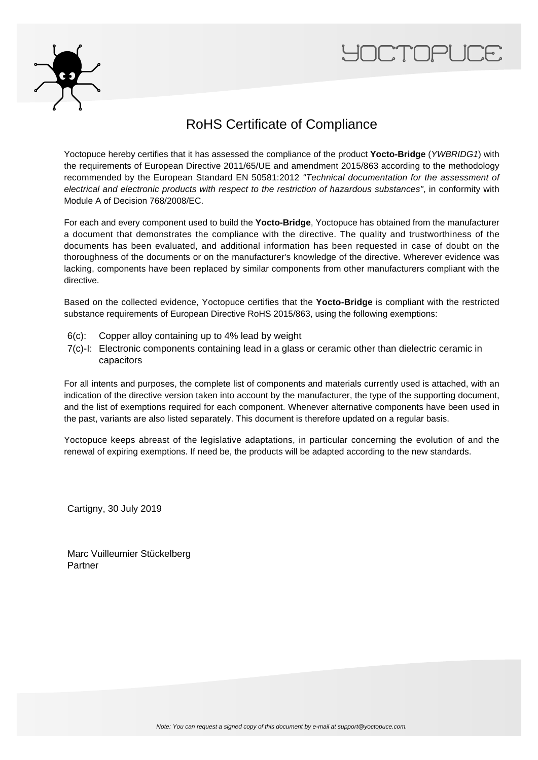



## RoHS Certificate of Compliance

Yoctopuce hereby certifies that it has assessed the compliance of the product Yocto-Bridge (YWBRIDG1) with the requirements of European Directive 2011/65/UE and amendment 2015/863 according to the methodology recommended by the European Standard EN 50581:2012 "Technical documentation for the assessment of electrical and electronic products with respect to the restriction of hazardous substances", in conformity with Module A of Decision 768/2008/EC.

For each and every component used to build the **Yocto-Bridge**, Yoctopuce has obtained from the manufacturer a document that demonstrates the compliance with the directive. The quality and trustworthiness of the documents has been evaluated, and additional information has been requested in case of doubt on the thoroughness of the documents or on the manufacturer's knowledge of the directive. Wherever evidence was lacking, components have been replaced by similar components from other manufacturers compliant with the directive.

Based on the collected evidence, Yoctopuce certifies that the **Yocto-Bridge** is compliant with the restricted substance requirements of European Directive RoHS 2015/863, using the following exemptions:

- 6(c): Copper alloy containing up to 4% lead by weight
- 7(c)-I: Electronic components containing lead in a glass or ceramic other than dielectric ceramic in capacitors

For all intents and purposes, the complete list of components and materials currently used is attached, with an indication of the directive version taken into account by the manufacturer, the type of the supporting document, and the list of exemptions required for each component. Whenever alternative components have been used in the past, variants are also listed separately. This document is therefore updated on a regular basis.

Yoctopuce keeps abreast of the legislative adaptations, in particular concerning the evolution of and the renewal of expiring exemptions. If need be, the products will be adapted according to the new standards.

Cartigny, 30 July 2019

Marc Vuilleumier Stückelberg Partner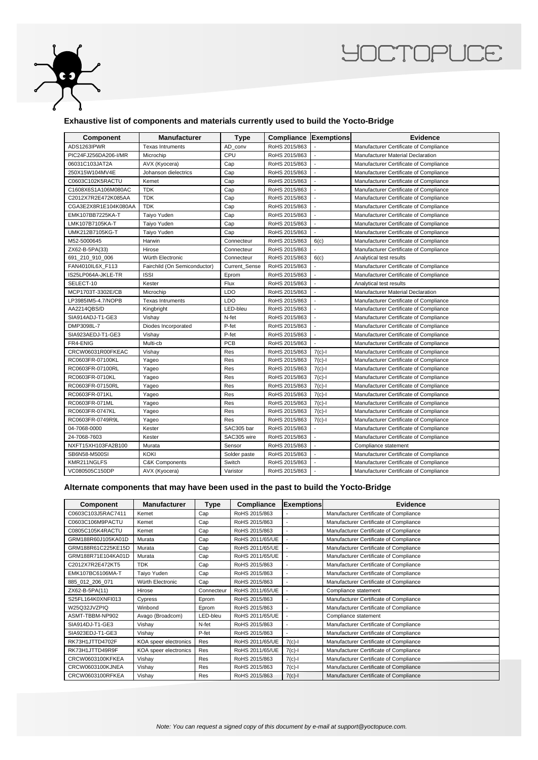

## **YOCTOPUCE**

## **Exhaustive list of components and materials currently used to build the Yocto-Bridge**

| <b>Component</b>     | <b>Manufacturer</b>          | <b>Type</b>          | <b>Compliance Exemptions</b> |                          | Evidence                               |
|----------------------|------------------------------|----------------------|------------------------------|--------------------------|----------------------------------------|
| ADS1263IPWR          | <b>Texas Intruments</b>      | AD conv              | RoHS 2015/863                |                          | Manufacturer Certificate of Compliance |
| PIC24FJ256DA206-I/MR | Microchip                    | CPU                  | RoHS 2015/863                | $\blacksquare$           | Manufacturer Material Declaration      |
| 06031C103JAT2A       | AVX (Kyocera)                | Cap                  | RoHS 2015/863                |                          | Manufacturer Certificate of Compliance |
| 250X15W104MV4E       | Johanson dielectrics         | Cap                  | RoHS 2015/863                |                          | Manufacturer Certificate of Compliance |
| C0603C102K5RACTU     | Kemet                        | Cap                  | RoHS 2015/863                | $\overline{\phantom{a}}$ | Manufacturer Certificate of Compliance |
| C1608X6S1A106M080AC  | <b>TDK</b>                   | Cap                  | RoHS 2015/863                |                          | Manufacturer Certificate of Compliance |
| C2012X7R2E472K085AA  | <b>TDK</b>                   | Cap                  | RoHS 2015/863                | $\overline{\phantom{a}}$ | Manufacturer Certificate of Compliance |
| CGA3E2X8R1E104K080AA | <b>TDK</b>                   | Cap                  | RoHS 2015/863                |                          | Manufacturer Certificate of Compliance |
| EMK107BB7225KA-T     | Taiyo Yuden                  | Cap                  | RoHS 2015/863                | $\blacksquare$           | Manufacturer Certificate of Compliance |
| LMK107B7105KA-T      | Taiyo Yuden                  | Cap                  | RoHS 2015/863                |                          | Manufacturer Certificate of Compliance |
| UMK212B7105KG-T      | Taiyo Yuden                  | Cap                  | RoHS 2015/863                |                          | Manufacturer Certificate of Compliance |
| M52-5000645          | Harwin                       | Connecteur           | RoHS 2015/863                | 6(c)                     | Manufacturer Certificate of Compliance |
| ZX62-B-5PA(33)       | Hirose                       | Connecteur           | RoHS 2015/863                |                          | Manufacturer Certificate of Compliance |
| 691_210_910_006      | Würth Electronic             | Connecteur           | RoHS 2015/863                | 6(c)                     | Analytical test results                |
| FAN4010IL6X F113     | Fairchild (On Semiconductor) | <b>Current Sense</b> | RoHS 2015/863                | $\mathbf{r}$             | Manufacturer Certificate of Compliance |
| IS25LP064A-JKLE-TR   | <b>ISSI</b>                  | Eprom                | RoHS 2015/863                |                          | Manufacturer Certificate of Compliance |
| SELECT-10            | Kester                       | Flux                 | RoHS 2015/863                |                          | Analytical test results                |
| MCP1703T-3302E/CB    | Microchip                    | LDO                  | RoHS 2015/863                |                          | Manufacturer Material Declaration      |
| LP3985IM5-4.7/NOPB   | <b>Texas Intruments</b>      | LDO                  | RoHS 2015/863                | $\overline{\phantom{a}}$ | Manufacturer Certificate of Compliance |
| AA2214QBS/D          | Kingbright                   | LED-bleu             | RoHS 2015/863                |                          | Manufacturer Certificate of Compliance |
| SIA914ADJ-T1-GE3     | Vishay                       | N-fet                | RoHS 2015/863                |                          | Manufacturer Certificate of Compliance |
| DMP3098L-7           | Diodes Incorporated          | P-fet                | RoHS 2015/863                | $\overline{\phantom{a}}$ | Manufacturer Certificate of Compliance |
| SIA923AEDJ-T1-GE3    | Vishay                       | P-fet                | RoHS 2015/863                | $\sim$                   | Manufacturer Certificate of Compliance |
| FR4-ENIG             | Multi-cb                     | <b>PCB</b>           | RoHS 2015/863                |                          | Manufacturer Certificate of Compliance |
| CRCW06031R00FKEAC    | Vishay                       | Res                  | RoHS 2015/863                | $7(c)-1$                 | Manufacturer Certificate of Compliance |
| RC0603FR-07100KL     | Yageo                        | Res                  | RoHS 2015/863                | $7(c)-1$                 | Manufacturer Certificate of Compliance |
| RC0603FR-07100RL     | Yageo                        | Res                  | RoHS 2015/863                | $7(c)-1$                 | Manufacturer Certificate of Compliance |
| RC0603FR-0710KL      | Yageo                        | Res                  | RoHS 2015/863                | $7(c)-1$                 | Manufacturer Certificate of Compliance |
| RC0603FR-07150RL     | Yageo                        | Res                  | RoHS 2015/863                | $7(c)-1$                 | Manufacturer Certificate of Compliance |
| RC0603FR-071KL       | Yageo                        | Res                  | RoHS 2015/863                | $7(c) - 1$               | Manufacturer Certificate of Compliance |
| RC0603FR-071ML       | Yageo                        | Res                  | RoHS 2015/863                | $7(c)-1$                 | Manufacturer Certificate of Compliance |
| RC0603FR-0747KL      | Yageo                        | Res                  | RoHS 2015/863                | $7(c)-1$                 | Manufacturer Certificate of Compliance |
| RC0603FR-0749R9L     | Yageo                        | Res                  | RoHS 2015/863                | $7(c)$ -l                | Manufacturer Certificate of Compliance |
| 04-7068-0000         | Kester                       | SAC305 bar           | RoHS 2015/863                |                          | Manufacturer Certificate of Compliance |
| 24-7068-7603         | Kester                       | SAC305 wire          | RoHS 2015/863                |                          | Manufacturer Certificate of Compliance |
| NXFT15XH103FA2B100   | Murata                       | Sensor               | RoHS 2015/863                | $\overline{\phantom{a}}$ | Compliance statement                   |
| SB6N58-M500SI        | <b>KOKI</b>                  | Solder paste         | RoHS 2015/863                | $\overline{\phantom{a}}$ | Manufacturer Certificate of Compliance |
| KMR211NGLFS          | <b>C&amp;K Components</b>    | Switch               | RoHS 2015/863                |                          | Manufacturer Certificate of Compliance |
| VC080505C150DP       | AVX (Kyocera)                | Varistor             | RoHS 2015/863                |                          | Manufacturer Certificate of Compliance |

## **Alternate components that may have been used in the past to build the Yocto-Bridge**

| Component          | <b>Manufacturer</b>   | Type       | Compliance      | <b>Exemptions</b>        | <b>Evidence</b>                        |
|--------------------|-----------------------|------------|-----------------|--------------------------|----------------------------------------|
| C0603C103J5RAC7411 | Kemet                 | Cap        | RoHS 2015/863   |                          | Manufacturer Certificate of Compliance |
| C0603C106M9PACTU   | Kemet                 | Cap        | RoHS 2015/863   | $\overline{\phantom{a}}$ | Manufacturer Certificate of Compliance |
| C0805C105K4RACTU   | Kemet                 | Cap        | RoHS 2015/863   | $\overline{\phantom{a}}$ | Manufacturer Certificate of Compliance |
| GRM188R60J105KA01D | Murata                | Cap        | RoHS 2011/65/UE | $\overline{\phantom{a}}$ | Manufacturer Certificate of Compliance |
| GRM188R61C225KE15D | Murata                | Cap        | RoHS 2011/65/UE | ٠                        | Manufacturer Certificate of Compliance |
| GRM188R71E104KA01D | Murata                | Cap        | RoHS 2011/65/UE | $\overline{\phantom{a}}$ | Manufacturer Certificate of Compliance |
| C2012X7R2E472KT5   | <b>TDK</b>            | Cap        | RoHS 2015/863   | ٠                        | Manufacturer Certificate of Compliance |
| EMK107BC6106MA-T   | Taiyo Yuden           | Cap        | RoHS 2015/863   | $\overline{\phantom{a}}$ | Manufacturer Certificate of Compliance |
| 885 012 206 071    | Würth Electronic      | Cap        | RoHS 2015/863   | ÷                        | Manufacturer Certificate of Compliance |
| ZX62-B-5PA(11)     | Hirose                | Connecteur | RoHS 2011/65/UE | ÷                        | Compliance statement                   |
| S25FL164K0XNFI013  | Cypress               | Eprom      | RoHS 2015/863   | $\blacksquare$           | Manufacturer Certificate of Compliance |
| W25Q32JVZPIQ       | Winbond               | Eprom      | RoHS 2015/863   | $\overline{\phantom{a}}$ | Manufacturer Certificate of Compliance |
| ASMT-TBBM-NP902    | Avago (Broadcom)      | LED-bleu   | RoHS 2011/65/UE | ÷,                       | Compliance statement                   |
| SIA914DJ-T1-GE3    | Vishay                | N-fet      | RoHS 2015/863   | $\overline{\phantom{a}}$ | Manufacturer Certificate of Compliance |
| SIA923EDJ-T1-GE3   | Vishay                | P-fet      | RoHS 2015/863   | $\overline{\phantom{a}}$ | Manufacturer Certificate of Compliance |
| RK73H1JTTD4702F    | KOA speer electronics | Res        | RoHS 2011/65/UE | $7(c)-1$                 | Manufacturer Certificate of Compliance |
| RK73H1JTTD49R9F    | KOA speer electronics | Res        | RoHS 2011/65/UE | $7(c)-1$                 | Manufacturer Certificate of Compliance |
| CRCW0603100KFKEA   | Vishay                | Res        | RoHS 2015/863   | $7(c)-1$                 | Manufacturer Certificate of Compliance |
| CRCW0603100KJNEA   | Vishay                | Res        | RoHS 2015/863   | $7(c) - 1$               | Manufacturer Certificate of Compliance |
| CRCW0603100RFKEA   | Vishay                | Res        | RoHS 2015/863   | $7(c) - 1$               | Manufacturer Certificate of Compliance |